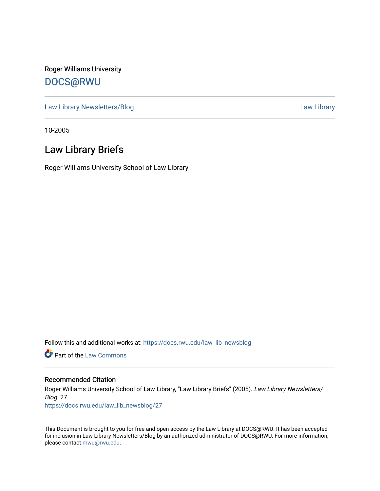Roger Williams University [DOCS@RWU](https://docs.rwu.edu/)

[Law Library Newsletters/Blog](https://docs.rwu.edu/law_lib_newsblog) [Law Library](https://docs.rwu.edu/law_lib) Caw Library

10-2005

## Law Library Briefs

Roger Williams University School of Law Library

Follow this and additional works at: [https://docs.rwu.edu/law\\_lib\\_newsblog](https://docs.rwu.edu/law_lib_newsblog?utm_source=docs.rwu.edu%2Flaw_lib_newsblog%2F27&utm_medium=PDF&utm_campaign=PDFCoverPages) 

**Part of the [Law Commons](http://network.bepress.com/hgg/discipline/578?utm_source=docs.rwu.edu%2Flaw_lib_newsblog%2F27&utm_medium=PDF&utm_campaign=PDFCoverPages)** 

#### Recommended Citation

Roger Williams University School of Law Library, "Law Library Briefs" (2005). Law Library Newsletters/ Blog. 27.

[https://docs.rwu.edu/law\\_lib\\_newsblog/27](https://docs.rwu.edu/law_lib_newsblog/27?utm_source=docs.rwu.edu%2Flaw_lib_newsblog%2F27&utm_medium=PDF&utm_campaign=PDFCoverPages)

This Document is brought to you for free and open access by the Law Library at DOCS@RWU. It has been accepted for inclusion in Law Library Newsletters/Blog by an authorized administrator of DOCS@RWU. For more information, please contact [mwu@rwu.edu.](mailto:mwu@rwu.edu)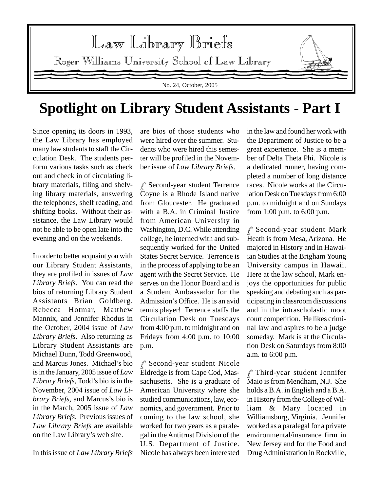

# **Spotlight on Library Student Assistants - Part I**

Since opening its doors in 1993, the Law Library has employed many law students to staff the Circulation Desk. The students perform various tasks such as check out and check in of circulating library materials, filing and shelving library materials, answering the telephones, shelf reading, and shifting books. Without their assistance, the Law Library would not be able to be open late into the evening and on the weekends.

In order to better acquaint you with our Library Student Assistants, they are profiled in issues of *Law Library Briefs*. You can read the bios of returning Library Student Assistants Brian Goldberg, Rebecca Hotmar, Matthew Mannix, and Jennifer Rhodus in the October, 2004 issue of *Law Library Briefs*. Also returning as Library Student Assistants are Michael Dunn, Todd Greenwood, and Marcus Jones. Michael's bio is in the January, 2005 issue of *Law Library Briefs*, Todd's bio is in the November, 2004 issue of *Law Library Briefs,* and Marcus's bio is in the March, 2005 issue of *Law Library Briefs*. Previous issues of *Law Library Briefs* are available on the Law Library's web site.

In this issue of *Law Library Briefs*

are bios of those students who were hired over the summer. Students who were hired this semester will be profiled in the November issue of *Law Library Briefs*.

 $\ell$ <sup>s</sup> Second-year student Terrence Coyne is a Rhode Island native from Gloucester. He graduated with a B.A. in Criminal Justice from American University in Washington, D.C. While attending college, he interned with and subsequently worked for the United States Secret Service. Terrence is in the process of applying to be an agent with the Secret Service. He serves on the Honor Board and is a Student Ambassador for the Admission's Office. He is an avid tennis player! Terrence staffs the Circulation Desk on Tuesdays from 4:00 p.m. to midnight and on Fridays from 4:00 p.m. to 10:00 p.m.

 $\mathscr P$  Second-year student Nicole Eldredge is from Cape Cod, Massachusetts. She is a graduate of American University where she studied communications, law, economics, and government. Prior to coming to the law school, she worked for two years as a paralegal in the Antitrust Division of the U.S. Department of Justice. Nicole has always been interested in the law and found her work with the Department of Justice to be a great experience. She is a member of Delta Theta Phi. Nicole is a dedicated runner, having completed a number of long distance races. Nicole works at the Circulation Desk on Tuesdays from 6:00 p.m. to midnight and on Sundays from 1:00 p.m. to 6:00 p.m.

 $\ell$ <sup>s</sup> Second-year student Mark Heath is from Mesa, Arizona. He majored in History and in Hawaiian Studies at the Brigham Young University campus in Hawaii. Here at the law school, Mark enjoys the opportunities for public speaking and debating such as participating in classroom discussions and in the intrascholastic moot court competition. He likes criminal law and aspires to be a judge someday. Mark is at the Circulation Desk on Saturdays from 8:00 a.m. to 6:00 p.m.

 $\ell$ <sup>s</sup> Third-year student Jennifer Maio is from Mendham, N.J. She holds a B.A. in English and a B.A. in History from the College of William & Mary located in Williamsburg, Virginia. Jennifer worked as a paralegal for a private environmental/insurance firm in New Jersey and for the Food and Drug Administration in Rockville,